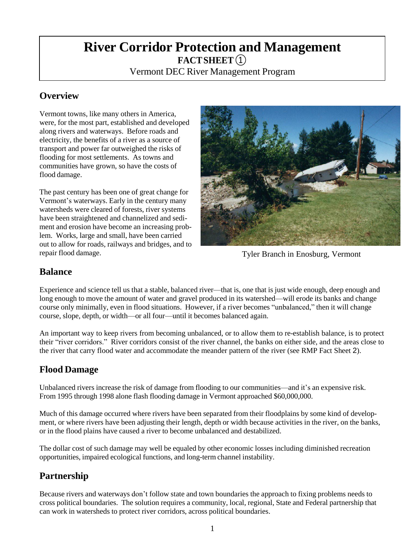# **River Corridor Protection and Management FACTSHEET**①

Vermont DEC River Management Program

# **Overview**

Vermont towns, like many others in America, were, for the most part, established and developed along rivers and waterways. Before roads and electricity, the benefits of a river as a source of transport and power far outweighed the risks of flooding for most settlements. As towns and communities have grown, so have the costs of flood damage.

The past century has been one of great change for Vermont's waterways. Early in the century many watersheds were cleared of forests, river systems have been straightened and channelized and sediment and erosion have become an increasing problem. Works, large and small, have been carried out to allow for roads, railways and bridges, and to repair flood damage.



Tyler Branch in Enosburg, Vermont

### **Balance**

Experience and science tell us that a stable, balanced river—that is, one that is just wide enough, deep enough and long enough to move the amount of water and gravel produced in its watershed—will erode its banks and change course only minimally, even in flood situations. However, if a river becomes "unbalanced," then it will change course, slope, depth, or width—or all four—until it becomes balanced again.

An important way to keep rivers from becoming unbalanced, or to allow them to re-establish balance, is to protect their "river corridors." River corridors consist of the river channel, the banks on either side, and the areas close to the river that carry flood water and accommodate the meander pattern of the river (see RMP Fact Sheet 2).

# **Flood Damage**

Unbalanced rivers increase the risk of damage from flooding to our communities—and it's an expensive risk. From 1995 through 1998 alone flash flooding damage in Vermont approached \$60,000,000.

Much of this damage occurred where rivers have been separated from their floodplains by some kind of development, or where rivers have been adjusting their length, depth or width because activities in the river, on the banks, or in the flood plains have caused a river to become unbalanced and destabilized.

The dollar cost of such damage may well be equaled by other economic losses including diminished recreation opportunities, impaired ecological functions, and long-term channel instability.

# **Partnership**

Because rivers and waterways don't follow state and town boundaries the approach to fixing problems needs to cross political boundaries. The solution requires a community, local, regional, State and Federal partnership that can work in watersheds to protect river corridors, across political boundaries.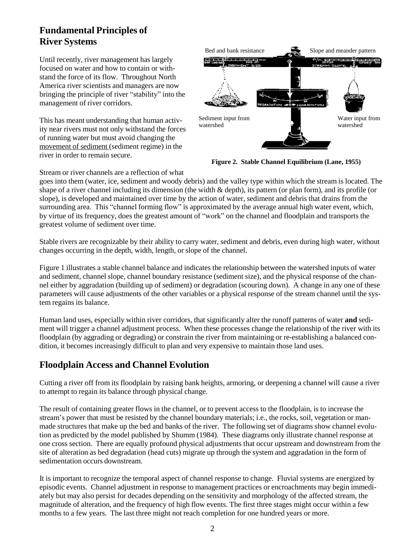# **Fundamental Principles of River Systems**

Until recently, river management has largely focused on water and how to contain or withstand the force of its flow. Throughout North America river scientists and managers are now bringing the principle of river "stability" into the management of river corridors.

This has meant understanding that human activity near rivers must not only withstand the forces of running water but must avoid changing the movement of sediment (sediment regime) in the river in order to remain secure.



**Figure 2. Stable Channel Equilibrium (Lane, 1955)**

Stream or river channels are a reflection of what

goes into them (water, ice, sediment and woody debris) and the valley type within which the stream is located. The shape of a river channel including its dimension (the width  $\&$  depth), its pattern (or plan form), and its profile (or slope), is developed and maintained over time by the action of water, sediment and debris that drains from the surrounding area. This "channel forming flow" is approximated by the average annual high water event, which, by virtue of its frequency, does the greatest amount of "work" on the channel and floodplain and transports the greatest volume of sediment over time.

Stable rivers are recognizable by their ability to carry water, sediment and debris, even during high water, without changes occurring in the depth, width, length, or slope of the channel.

Figure 1 illustrates a stable channel balance and indicates the relationship between the watershed inputs of water and sediment, channel slope, channel boundary resistance (sediment size), and the physical response of the channel either by aggradation (building up of sediment) or degradation (scouring down). A change in any one of these parameters will cause adjustments of the other variables or a physical response of the stream channel until the system regains its balance.

Human land uses, especially within river corridors, that significantly alter the runoff patterns of water **and** sediment will trigger a channel adjustment process. When these processes change the relationship of the river with its floodplain (by aggrading or degrading) or constrain the river from maintaining or re-establishing a balanced condition, it becomes increasingly difficult to plan and very expensive to maintain those land uses.

### **Floodplain Access and Channel Evolution**

Cutting a river off from its floodplain by raising bank heights, armoring, or deepening a channel will cause a river to attempt to regain its balance through physical change.

The result of containing greater flows in the channel, or to prevent access to the floodplain, is to increase the stream's power that must be resisted by the channel boundary materials; i.e., the rocks, soil, vegetation or manmade structures that make up the bed and banks of the river. The following set of diagrams show channel evolution as predicted by the model published by Shumm (1984). These diagrams only illustrate channel response at one cross section. There are equally profound physical adjustments that occur upstream and downstream from the site of alteration as bed degradation (head cuts) migrate up through the system and aggradation in the form of sedimentation occurs downstream.

It is important to recognize the temporal aspect of channel response to change. Fluvial systems are energized by episodic events. Channel adjustment in response to management practices or encroachments may begin immediately but may also persist for decades depending on the sensitivity and morphology of the affected stream, the magnitude of alteration, and the frequency of high flow events. The first three stages might occur within a few months to a few years. The last three might not reach completion for one hundred years or more.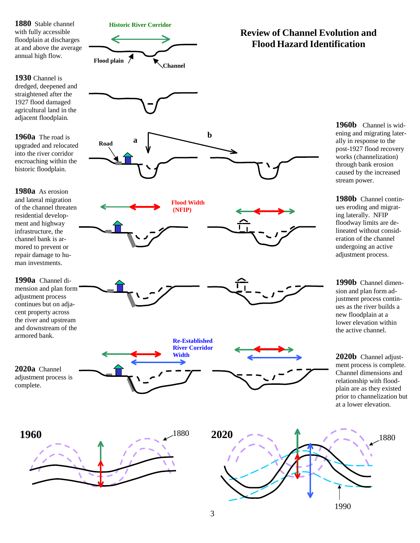



**Road a**



#### **1930** Channel is dredged, deepened and straightened after the 1927 flood damaged agricultural land in the adjacent floodplain.

**1960a** The road is upgraded and relocated into the river corridor encroaching within the historic floodplain.

**1980a** As erosion and lateral migration of the channel threaten residential development and highway infrastructure, the channel bank is armored to prevent or repair damage to human investments.

**1990a** Channel dimension and plan form adjustment process continues but on adjacent property across the river and upstream and downstream of the armored bank.



**2020a** Channel adjustment process is complete.





# **Review of Channel Evolution and Flood Hazard Identification**

**1960b** Channel is widening and migrating laterally in response to the post-1927 flood recovery works (channelization) through bank erosion caused by the increased stream power.

**1980b** Channel continues eroding and migrating laterally. NFIP floodway limits are delineated without consideration of the channel undergoing an active adjustment process.

**1990b** Channel dimension and plan form adjustment process continues as the river builds a new floodplain at a lower elevation within the active channel.

**2020b** Channel adjustment process is complete. Channel dimensions and relationship with floodplain are as they existed prior to channelization but at a lower elevation.



**b**

**Flood Width (NFIP)**

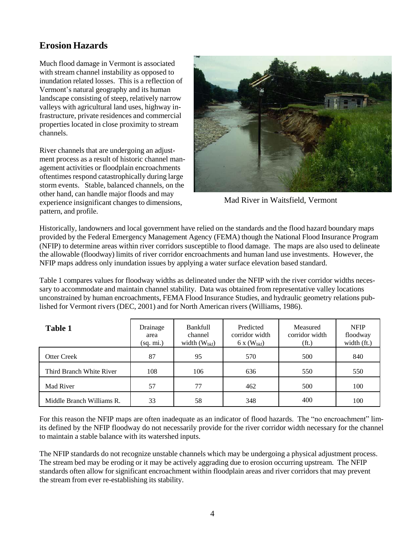# **Erosion Hazards**

Much flood damage in Vermont is associated with stream channel instability as opposed to inundation related losses. This is a reflection of Vermont's natural geography and its human landscape consisting of steep, relatively narrow valleys with agricultural land uses, highway infrastructure, private residences and commercial properties located in close proximity to stream channels.

River channels that are undergoing an adjustment process as a result of historic channel management activities or floodplain encroachments oftentimes respond catastrophically during large storm events. Stable, balanced channels, on the other hand, can handle major floods and may experience insignificant changes to dimensions, pattern, and profile.



Mad River in Waitsfield, Vermont

Historically, landowners and local government have relied on the standards and the flood hazard boundary maps provided by the Federal Emergency Management Agency (FEMA) though the National Flood Insurance Program (NFIP) to determine areas within river corridors susceptible to flood damage. The maps are also used to delineate the allowable (floodway) limits of river corridor encroachments and human land use investments. However, the NFIP maps address only inundation issues by applying a water surface elevation based standard.

Table 1 compares values for floodway widths as delineated under the NFIP with the river corridor widths necessary to accommodate and maintain channel stability. Data was obtained from representative valley locations unconstrained by human encroachments, FEMA Flood Insurance Studies, and hydraulic geometry relations published for Vermont rivers (DEC, 2001) and for North American rivers (Williams, 1986).

| <b>Table 1</b>            | Drainage<br>area<br>(sq. mi.) | <b>Bankfull</b><br>channel<br>width $(W_{bkf})$ | Predicted<br>corridor width<br>$6x(W_{bkf})$ | Measured<br>corridor width<br>(f <sub>t</sub> ) | <b>NFIP</b><br>floodway<br>width (ft.) |
|---------------------------|-------------------------------|-------------------------------------------------|----------------------------------------------|-------------------------------------------------|----------------------------------------|
| <b>Otter Creek</b>        | 87                            | 95                                              | 570                                          | 500                                             | 840                                    |
| Third Branch White River  | 108                           | 106                                             | 636                                          | 550                                             | 550                                    |
| Mad River                 | 57                            | 77                                              | 462                                          | 500                                             | 100                                    |
| Middle Branch Williams R. | 33                            | 58                                              | 348                                          | 400                                             | 100                                    |

For this reason the NFIP maps are often inadequate as an indicator of flood hazards. The "no encroachment" limits defined by the NFIP floodway do not necessarily provide for the river corridor width necessary for the channel to maintain a stable balance with its watershed inputs.

The NFIP standards do not recognize unstable channels which may be undergoing a physical adjustment process. The stream bed may be eroding or it may be actively aggrading due to erosion occurring upstream. The NFIP standards often allow for significant encroachment within floodplain areas and river corridors that may prevent the stream from ever re-establishing its stability.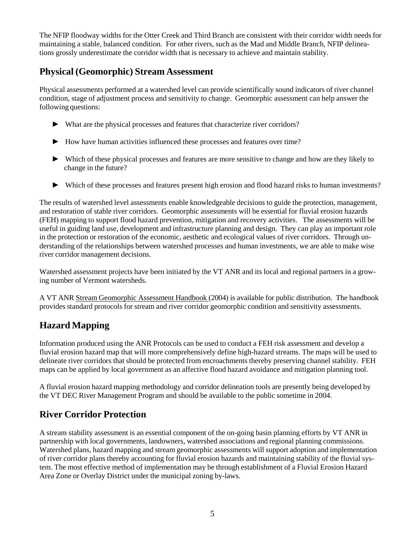The NFIP floodway widths for the Otter Creek and Third Branch are consistent with their corridor width needs for maintaining a stable, balanced condition. For other rivers, such as the Mad and Middle Branch, NFIP delineations grossly underestimate the corridor width that is necessary to achieve and maintain stability.

# **Physical (Geomorphic) Stream Assessment**

Physical assessments performed at a watershed level can provide scientifically sound indicators of river channel condition, stage of adjustment process and sensitivity to change. Geomorphic assessment can help answer the following questions:

- ► What are the physical processes and features that characterize river corridors?
- ► How have human activities influenced these processes and features over time?
- ► Which of these physical processes and features are more sensitive to change and how are they likely to change in the future?
- ► Which of these processes and features present high erosion and flood hazard risks to human investments?

The results of watershed level assessments enable knowledgeable decisions to guide the protection, management, and restoration of stable river corridors. Geomorphic assessments will be essential for fluvial erosion hazards (FEH) mapping to support flood hazard prevention, mitigation and recovery activities. The assessments will be useful in guiding land use, development and infrastructure planning and design. They can play an important role in the protection or restoration of the economic, aesthetic and ecological values of river corridors. Through understanding of the relationships between watershed processes and human investments, we are able to make wise river corridor management decisions.

Watershed assessment projects have been initiated by the VT ANR and its local and regional partners in a growing number of Vermont watersheds.

A VT ANR Stream Geomorphic Assessment Handbook (2004) is available for public distribution. The handbook provides standard protocols for stream and river corridor geomorphic condition and sensitivity assessments.

# **Hazard Mapping**

Information produced using the ANR Protocols can be used to conduct a FEH risk assessment and develop a fluvial erosion hazard map that will more comprehensively define high-hazard streams. The maps will be used to delineate river corridors that should be protected from encroachments thereby preserving channel stability. FEH maps can be applied by local government as an affective flood hazard avoidance and mitigation planning tool.

A fluvial erosion hazard mapping methodology and corridor delineation tools are presently being developed by the VT DEC River Management Program and should be available to the public sometime in 2004.

# **River Corridor Protection**

A stream stability assessment is an essential component of the on-going basin planning efforts by VT ANR in partnership with local governments, landowners, watershed associations and regional planning commissions. Watershed plans, hazard mapping and stream geomorphic assessments will support adoption and implementation of river corridor plans thereby accounting for fluvial erosion hazards and maintaining stability of the fluvial system. The most effective method of implementation may be through establishment of a Fluvial Erosion Hazard Area Zone or Overlay District under the municipal zoning by-laws.